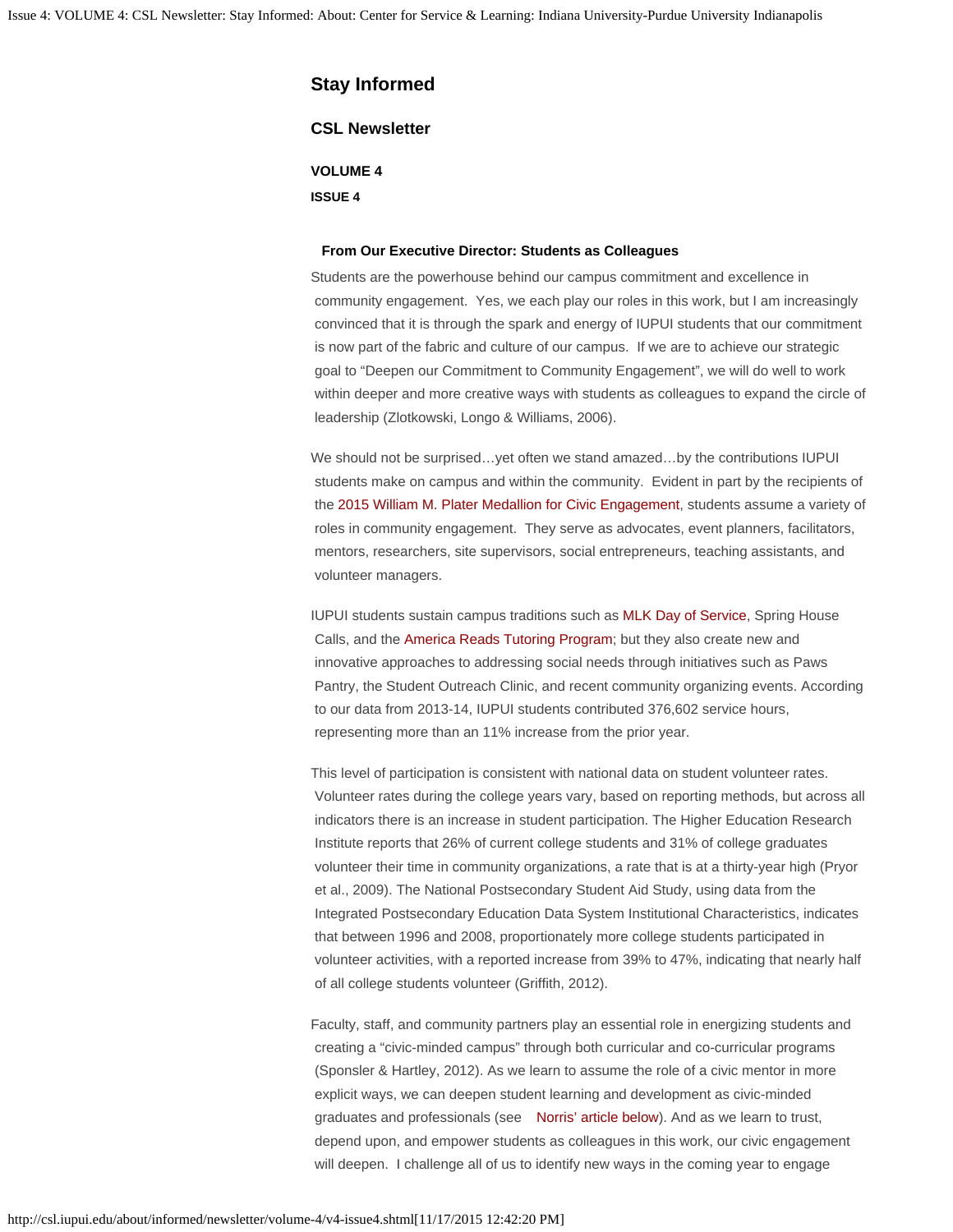# **Stay Informed**

## **CSL Newsletter**

**VOLUME 4 ISSUE 4**

#### **From Our Executive Director: Students as Colleagues**

Students are the powerhouse behind our campus commitment and excellence in community engagement. Yes, we each play our roles in this work, but I am increasingly convinced that it is through the spark and energy of IUPUI students that our commitment is now part of the fabric and culture of our campus. If we are to achieve our strategic goal to "Deepen our Commitment to Community Engagement", we will do well to work within deeper and more creative ways with students as colleagues to expand the circle of leadership (Zlotkowski, Longo & Williams, 2006).

We should not be surprised...yet often we stand amazed...by the contributions IUPUI students make on campus and within the community. Evident in part by the recipients of the [2015 William M. Plater Medallion for Civic Engagement](http://csl.iupui.edu/financial-support/awards/plater.shtml), students assume a variety of roles in community engagement. They serve as advocates, event planners, facilitators, mentors, researchers, site supervisors, social entrepreneurs, teaching assistants, and volunteer managers.

IUPUI students sustain campus traditions such as [MLK Day of Service,](http://csl.iupui.edu/partnerships/student-service/events/dr-king.shtml) Spring House Calls, and the [America Reads Tutoring Program;](http://csl.iupui.edu/financial-support/work-study/america-reads.shtml) but they also create new and innovative approaches to addressing social needs through initiatives such as Paws Pantry, the Student Outreach Clinic, and recent community organizing events. According to our data from 2013-14, IUPUI students contributed 376,602 service hours, representing more than an 11% increase from the prior year.

This level of participation is consistent with national data on student volunteer rates. Volunteer rates during the college years vary, based on reporting methods, but across all indicators there is an increase in student participation. The Higher Education Research Institute reports that 26% of current college students and 31% of college graduates volunteer their time in community organizations, a rate that is at a thirty-year high (Pryor et al., 2009). The National Postsecondary Student Aid Study, using data from the Integrated Postsecondary Education Data System Institutional Characteristics, indicates that between 1996 and 2008, proportionately more college students participated in volunteer activities, with a reported increase from 39% to 47%, indicating that nearly half of all college students volunteer (Griffith, 2012).

Faculty, staff, and community partners play an essential role in energizing students and creating a "civic-minded campus" through both curricular and co-curricular programs (Sponsler & Hartley, 2012). As we learn to assume the role of a civic mentor in more explicit ways, we can deepen student learning and development as civic-minded graduates and professionals (see [Norris' article below](#page-3-0)). And as we learn to trust, depend upon, and empower students as colleagues in this work, our civic engagement will deepen. I challenge all of us to identify new ways in the coming year to engage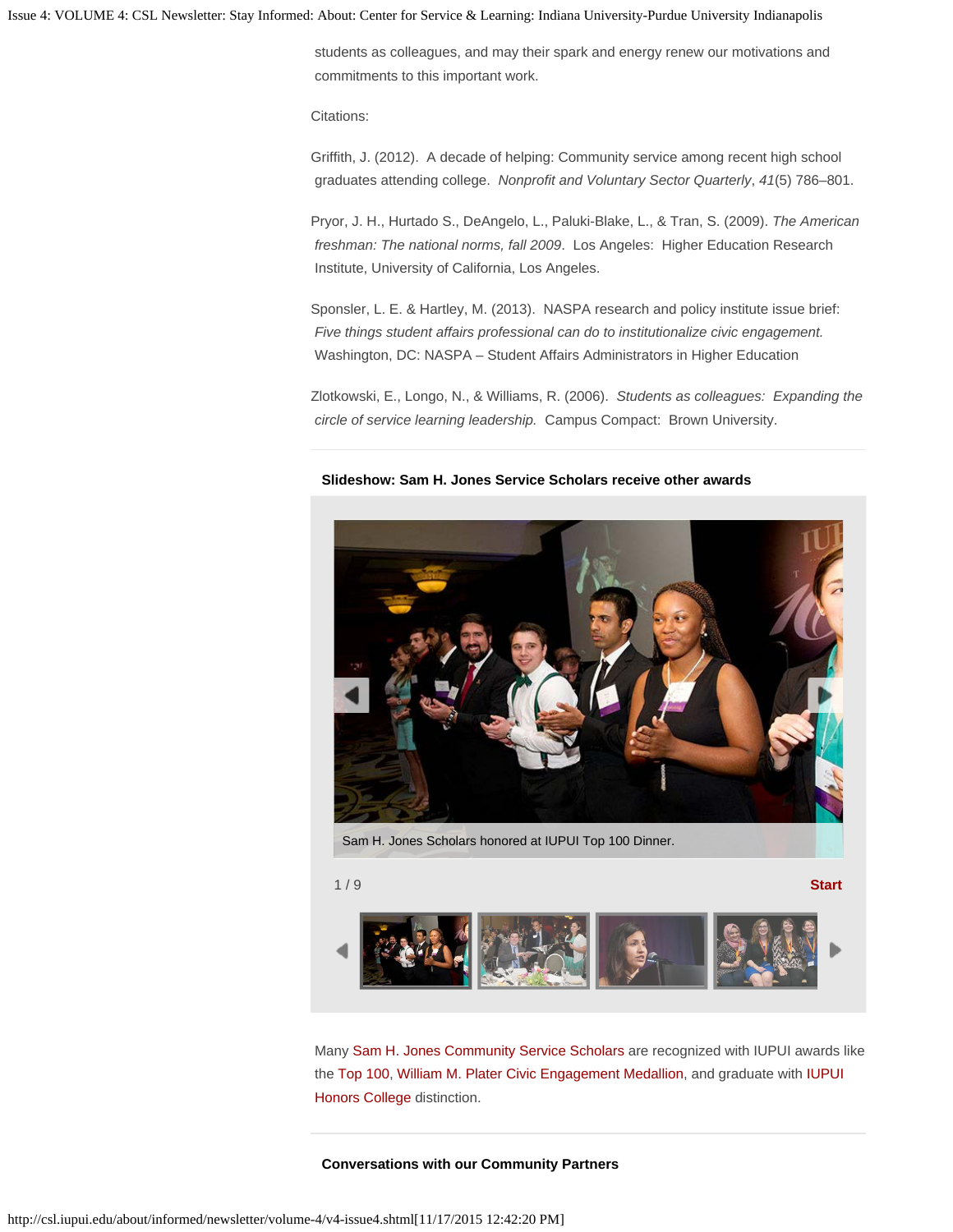Issue 4: VOLUME 4: CSL Newsletter: Stay Informed: About: Center for Service & Learning: Indiana University-Purdue University Indianapolis

 students as colleagues, and may their spark and energy renew our motivations and commitments to this important work.

Citations:

Griffith, J. (2012). A decade of helping: Community service among recent high school graduates attending college. *Nonprofit and Voluntary Sector Quarterly*, *41*(5) 786–801.

Pryor, J. H., Hurtado S., DeAngelo, L., Paluki-Blake, L., & Tran, S. (2009). *The American freshman: The national norms, fall 2009*. Los Angeles: Higher Education Research Institute, University of California, Los Angeles.

Sponsler, L. E. & Hartley, M. (2013). NASPA research and policy institute issue brief: *Five things student affairs professional can do to institutionalize civic engagement.* Washington, DC: NASPA – Student Affairs Administrators in Higher Education

Zlotkowski, E., Longo, N., & Williams, R. (2006). *Students as colleagues: Expanding the circle of service learning leadership.* Campus Compact: Brown University.

## **Slideshow: Sam H. Jones Service Scholars receive other awards**



Sam H. Jones Scholars honored at IUPUI Top 100 Dinner.

1 / 9 **Start**



Many [Sam H. Jones Community Service Scholars](http://csl.iupui.edu/financial-support/scholarships/index.shtml) are recognized with IUPUI awards like the [Top 100](http://alumni.iupui.edu/top100.html), [William M. Plater Civic Engagement Medallion](http://csl.iupui.edu/financial-support/awards/plater.shtml), and graduate with [IUPUI](http://honorscollege.iupui.edu/)  [Honors College](http://honorscollege.iupui.edu/) distinction.

## **Conversations with our Community Partners**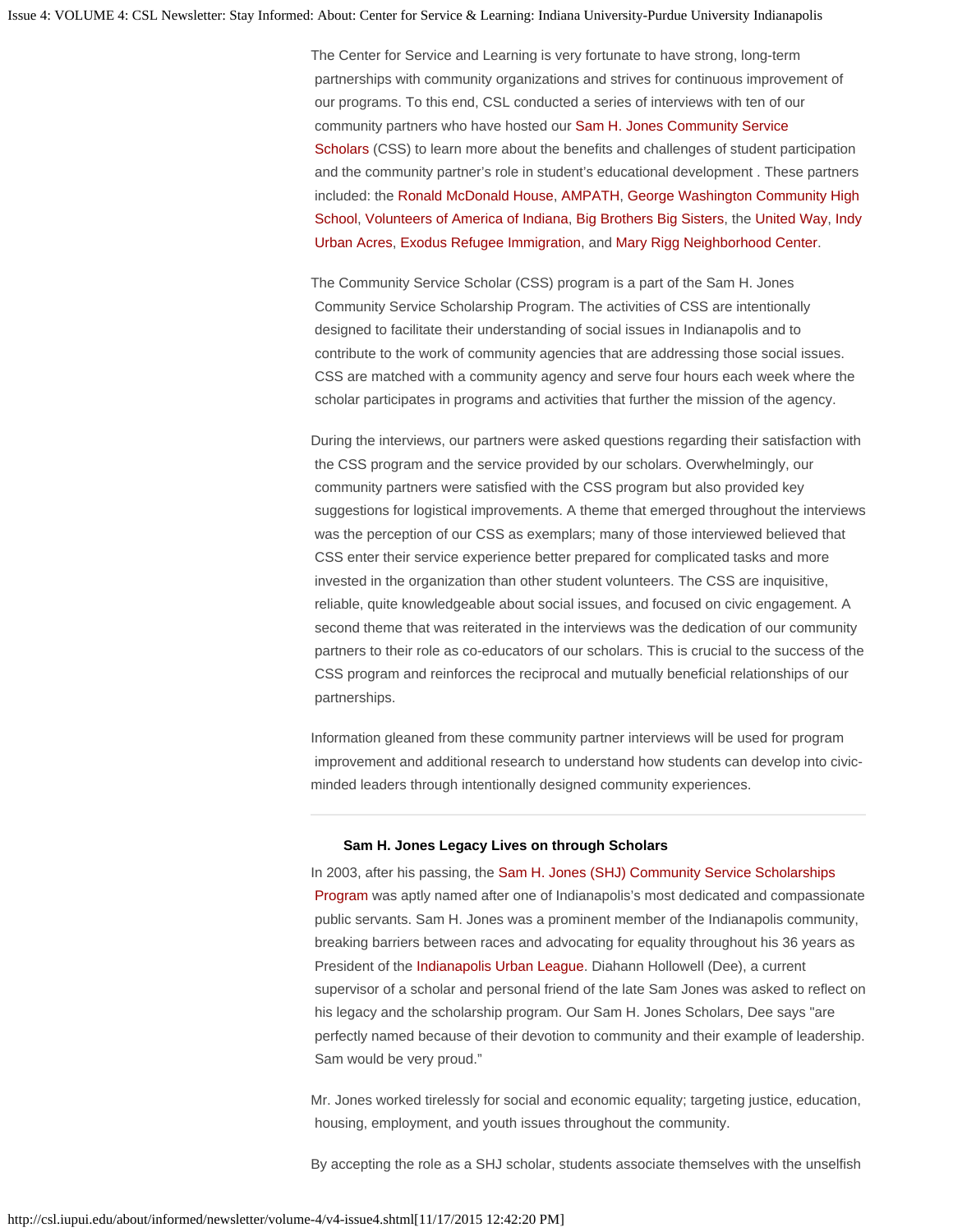The Center for Service and Learning is very fortunate to have strong, long-term partnerships with community organizations and strives for continuous improvement of our programs. To this end, CSL conducted a series of interviews with ten of our community partners who have hosted our [Sam H. Jones Community Service](http://csl.iupui.edu/financial-support/scholarships/service-scholars.shtml)  [Scholars](http://csl.iupui.edu/financial-support/scholarships/service-scholars.shtml) (CSS) to learn more about the benefits and challenges of student participation and the community partner's role in student's educational development . These partners included: the [Ronald McDonald House](http://csl.iupui.edu/about/informed/newsletter/volume-4/www.rmh-indiana.org/), [AMPATH](http://www.ampathkenya.org/), [George Washington Community High](http://csl.iupui.edu/about/informed/newsletter/volume-4/www.myips.org/gwchs)  [School,](http://csl.iupui.edu/about/informed/newsletter/volume-4/www.myips.org/gwchs) [Volunteers of America of Indiana](http://csl.iupui.edu/about/informed/newsletter/volume-4/www.voain.org/), [Big Brothers Big Sisters](http://csl.iupui.edu/about/informed/newsletter/volume-4/www.bebigforkids.org/), the [United Way,](http://csl.iupui.edu/about/informed/newsletter/volume-4/www.uwci.org/) [Indy](http://indyparksfoundation.org/site/what_we_do/indy_urban_acres_farm)  [Urban Acres,](http://indyparksfoundation.org/site/what_we_do/indy_urban_acres_farm) [Exodus Refugee Immigration](http://csl.iupui.edu/about/informed/newsletter/volume-4/www.exodusrefugee.org/), and [Mary Rigg Neighborhood Center](http://csl.iupui.edu/about/informed/newsletter/volume-4/www.maryrigg.org/).

The Community Service Scholar (CSS) program is a part of the Sam H. Jones Community Service Scholarship Program. The activities of CSS are intentionally designed to facilitate their understanding of social issues in Indianapolis and to contribute to the work of community agencies that are addressing those social issues. CSS are matched with a community agency and serve four hours each week where the scholar participates in programs and activities that further the mission of the agency.

During the interviews, our partners were asked questions regarding their satisfaction with the CSS program and the service provided by our scholars. Overwhelmingly, our community partners were satisfied with the CSS program but also provided key suggestions for logistical improvements. A theme that emerged throughout the interviews was the perception of our CSS as exemplars; many of those interviewed believed that CSS enter their service experience better prepared for complicated tasks and more invested in the organization than other student volunteers. The CSS are inquisitive, reliable, quite knowledgeable about social issues, and focused on civic engagement. A second theme that was reiterated in the interviews was the dedication of our community partners to their role as co-educators of our scholars. This is crucial to the success of the CSS program and reinforces the reciprocal and mutually beneficial relationships of our partnerships.

Information gleaned from these community partner interviews will be used for program improvement and additional research to understand how students can develop into civicminded leaders through intentionally designed community experiences.

#### **Sam H. Jones Legacy Lives on through Scholars**

In 2003, after his passing, the [Sam H. Jones \(SHJ\) Community Service Scholarships](http://csl.iupui.edu/financial-support/scholarships/index.shtml)  [Program](http://csl.iupui.edu/financial-support/scholarships/index.shtml) was aptly named after one of Indianapolis's most dedicated and compassionate public servants. Sam H. Jones was a prominent member of the Indianapolis community, breaking barriers between races and advocating for equality throughout his 36 years as President of the [Indianapolis Urban League](http://csl.iupui.edu/about/informed/newsletter/volume-4/www.indplsul.org). Diahann Hollowell (Dee), a current supervisor of a scholar and personal friend of the late Sam Jones was asked to reflect on his legacy and the scholarship program. Our Sam H. Jones Scholars, Dee says "are perfectly named because of their devotion to community and their example of leadership. Sam would be very proud."

Mr. Jones worked tirelessly for social and economic equality; targeting justice, education, housing, employment, and youth issues throughout the community.

By accepting the role as a SHJ scholar, students associate themselves with the unselfish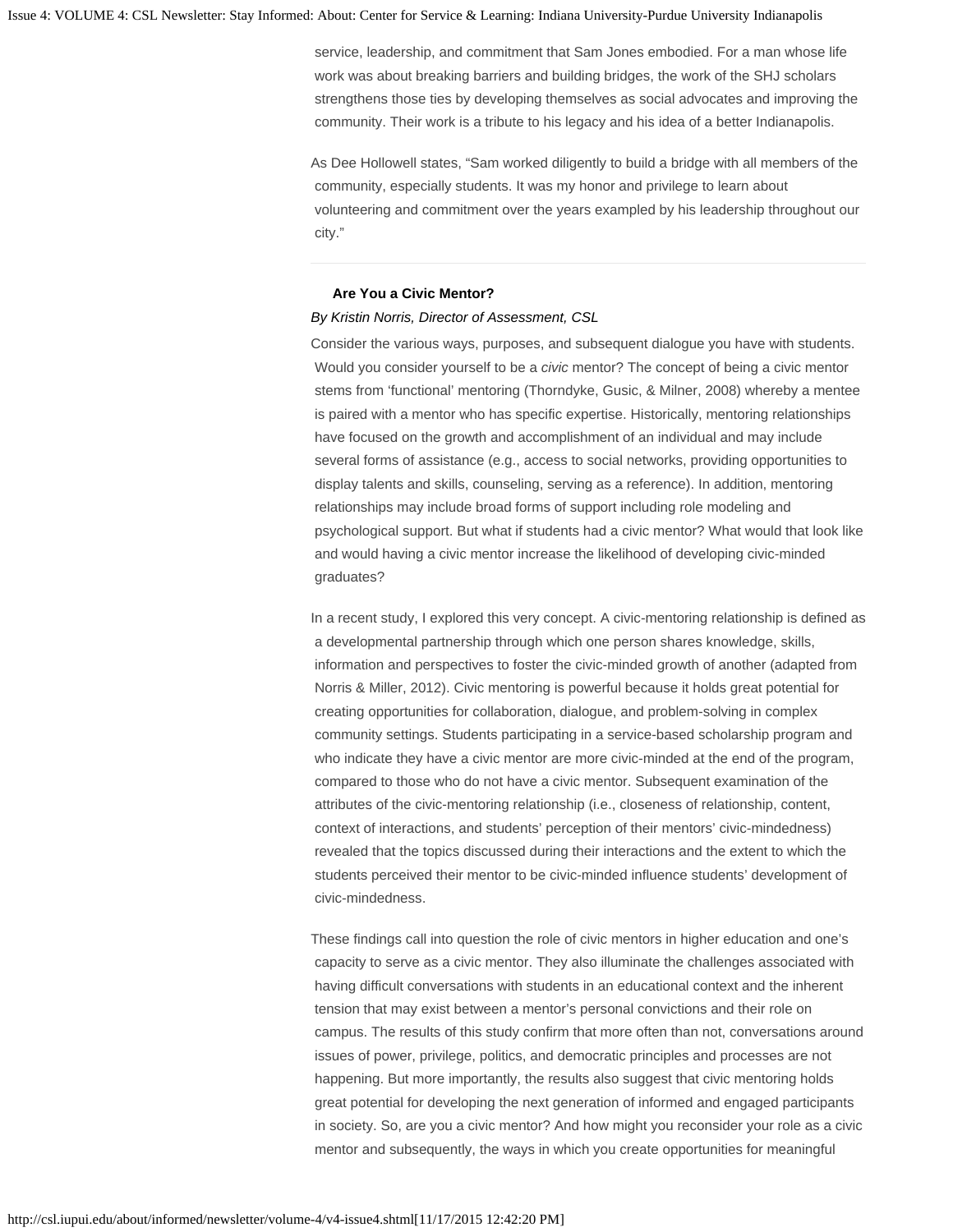service, leadership, and commitment that Sam Jones embodied. For a man whose life work was about breaking barriers and building bridges, the work of the SHJ scholars strengthens those ties by developing themselves as social advocates and improving the community. Their work is a tribute to his legacy and his idea of a better Indianapolis.

As Dee Hollowell states, "Sam worked diligently to build a bridge with all members of the community, especially students. It was my honor and privilege to learn about volunteering and commitment over the years exampled by his leadership throughout our city."

## **Are You a Civic Mentor?**

## <span id="page-3-0"></span>*By Kristin Norris, Director of Assessment, CSL*

Consider the various ways, purposes, and subsequent dialogue you have with students. Would you consider yourself to be a *civic* mentor? The concept of being a civic mentor stems from 'functional' mentoring (Thorndyke, Gusic, & Milner, 2008) whereby a mentee is paired with a mentor who has specific expertise. Historically, mentoring relationships have focused on the growth and accomplishment of an individual and may include several forms of assistance (e.g., access to social networks, providing opportunities to display talents and skills, counseling, serving as a reference). In addition, mentoring relationships may include broad forms of support including role modeling and psychological support. But what if students had a civic mentor? What would that look like and would having a civic mentor increase the likelihood of developing civic-minded graduates?

In a recent study, I explored this very concept. A civic-mentoring relationship is defined as a developmental partnership through which one person shares knowledge, skills, information and perspectives to foster the civic-minded growth of another (adapted from Norris & Miller, 2012). Civic mentoring is powerful because it holds great potential for creating opportunities for collaboration, dialogue, and problem-solving in complex community settings. Students participating in a service-based scholarship program and who indicate they have a civic mentor are more civic-minded at the end of the program, compared to those who do not have a civic mentor. Subsequent examination of the attributes of the civic-mentoring relationship (i.e., closeness of relationship, content, context of interactions, and students' perception of their mentors' civic-mindedness) revealed that the topics discussed during their interactions and the extent to which the students perceived their mentor to be civic-minded influence students' development of civic-mindedness.

These findings call into question the role of civic mentors in higher education and one's capacity to serve as a civic mentor. They also illuminate the challenges associated with having difficult conversations with students in an educational context and the inherent tension that may exist between a mentor's personal convictions and their role on campus. The results of this study confirm that more often than not, conversations around issues of power, privilege, politics, and democratic principles and processes are not happening. But more importantly, the results also suggest that civic mentoring holds great potential for developing the next generation of informed and engaged participants in society. So, are you a civic mentor? And how might you reconsider your role as a civic mentor and subsequently, the ways in which you create opportunities for meaningful